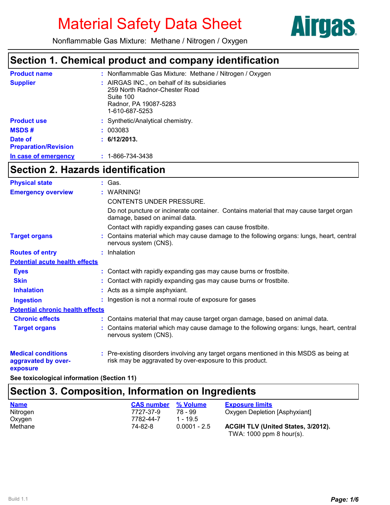

Nonflammable Gas Mixture: Methane / Nitrogen / Oxygen

## **Section 1. Chemical product and company identification**

| <b>Product name</b>                    | : Nonflammable Gas Mixture: Methane / Nitrogen / Oxygen                                                                               |
|----------------------------------------|---------------------------------------------------------------------------------------------------------------------------------------|
| <b>Supplier</b>                        | : AIRGAS INC., on behalf of its subsidiaries<br>259 North Radnor-Chester Road<br>Suite 100<br>Radnor, PA 19087-5283<br>1-610-687-5253 |
| <b>Product use</b>                     | : Synthetic/Analytical chemistry.                                                                                                     |
| <b>MSDS#</b>                           | : 003083                                                                                                                              |
| Date of<br><b>Preparation/Revision</b> | : 6/12/2013.                                                                                                                          |
| In case of emergency                   | $: 1 - 866 - 734 - 3438$                                                                                                              |

# **Section 2. Hazards identification**

| <b>Physical state</b>                                        | : Gas.                                                                                                                                              |
|--------------------------------------------------------------|-----------------------------------------------------------------------------------------------------------------------------------------------------|
| <b>Emergency overview</b>                                    | : WARNING!                                                                                                                                          |
|                                                              | <b>CONTENTS UNDER PRESSURE.</b>                                                                                                                     |
|                                                              | Do not puncture or incinerate container. Contains material that may cause target organ<br>damage, based on animal data.                             |
|                                                              | Contact with rapidly expanding gases can cause frostbite.                                                                                           |
| <b>Target organs</b>                                         | : Contains material which may cause damage to the following organs: lungs, heart, central<br>nervous system (CNS).                                  |
| <b>Routes of entry</b>                                       | : Inhalation                                                                                                                                        |
| <b>Potential acute health effects</b>                        |                                                                                                                                                     |
| <b>Eyes</b>                                                  | : Contact with rapidly expanding gas may cause burns or frostbite.                                                                                  |
| <b>Skin</b>                                                  | : Contact with rapidly expanding gas may cause burns or frostbite.                                                                                  |
| <b>Inhalation</b>                                            | : Acts as a simple asphyxiant.                                                                                                                      |
| <b>Ingestion</b>                                             | : Ingestion is not a normal route of exposure for gases                                                                                             |
| <b>Potential chronic health effects</b>                      |                                                                                                                                                     |
| <b>Chronic effects</b>                                       | : Contains material that may cause target organ damage, based on animal data.                                                                       |
| <b>Target organs</b>                                         | : Contains material which may cause damage to the following organs: lungs, heart, central<br>nervous system (CNS).                                  |
| <b>Medical conditions</b><br>aggravated by over-<br>exposure | : Pre-existing disorders involving any target organs mentioned in this MSDS as being at<br>risk may be aggravated by over-exposure to this product. |

**See toxicological information (Section 11)**

## **Section 3. Composition, Information on Ingredients**

| <b>Name</b> | <b>CAS number</b> | % Volume       | <b>Exposure limits</b>             |
|-------------|-------------------|----------------|------------------------------------|
| Nitrogen    | 7727-37-9         | 78 - 99        | Oxygen Depletion [Asphyxiant]      |
| Oxygen      | 7782-44-7         | 1 - 195        |                                    |
| Methane     | 74-82-8           | $0.0001 - 2.5$ | ACGIH TLV (United States, 3/2012). |
|             |                   |                | TWA: $1000$ ppm 8 hour(s).         |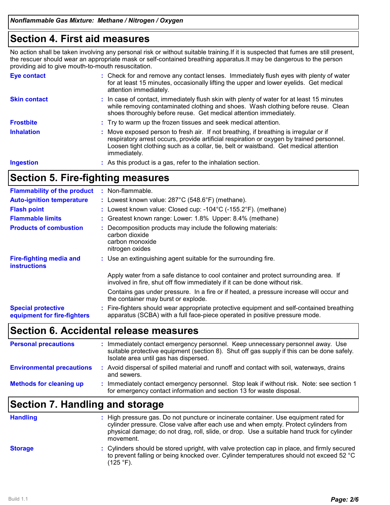## **Section 4. First aid measures**

No action shall be taken involving any personal risk or without suitable training.If it is suspected that fumes are still present, the rescuer should wear an appropriate mask or self-contained breathing apparatus.It may be dangerous to the person providing aid to give mouth-to-mouth resuscitation.

| <b>Eve contact</b>  | : Check for and remove any contact lenses. Immediately flush eyes with plenty of water<br>for at least 15 minutes, occasionally lifting the upper and lower eyelids. Get medical<br>attention immediately.                                                                                  |
|---------------------|---------------------------------------------------------------------------------------------------------------------------------------------------------------------------------------------------------------------------------------------------------------------------------------------|
| <b>Skin contact</b> | : In case of contact, immediately flush skin with plenty of water for at least 15 minutes<br>while removing contaminated clothing and shoes. Wash clothing before reuse. Clean<br>shoes thoroughly before reuse. Get medical attention immediately.                                         |
| <b>Frostbite</b>    | : Try to warm up the frozen tissues and seek medical attention.                                                                                                                                                                                                                             |
| <b>Inhalation</b>   | : Move exposed person to fresh air. If not breathing, if breathing is irregular or if<br>respiratory arrest occurs, provide artificial respiration or oxygen by trained personnel.<br>Loosen tight clothing such as a collar, tie, belt or waistband. Get medical attention<br>immediately. |
| <b>Ingestion</b>    | : As this product is a gas, refer to the inhalation section.                                                                                                                                                                                                                                |

## **Section 5. Fire-fighting measures**

| <b>Flammability of the product</b>                       | : Non-flammable.                                                                                                                                                         |
|----------------------------------------------------------|--------------------------------------------------------------------------------------------------------------------------------------------------------------------------|
| <b>Auto-ignition temperature</b>                         | : Lowest known value: 287°C (548.6°F) (methane).                                                                                                                         |
| <b>Flash point</b>                                       | : Lowest known value: Closed cup: $-104^{\circ}$ C ( $-155.2^{\circ}$ F). (methane)                                                                                      |
| <b>Flammable limits</b>                                  | : Greatest known range: Lower: 1.8% Upper: 8.4% (methane)                                                                                                                |
| <b>Products of combustion</b>                            | : Decomposition products may include the following materials:<br>carbon dioxide<br>carbon monoxide<br>nitrogen oxides                                                    |
| <b>Fire-fighting media and</b><br><b>instructions</b>    | : Use an extinguishing agent suitable for the surrounding fire.                                                                                                          |
|                                                          | Apply water from a safe distance to cool container and protect surrounding area. If<br>involved in fire, shut off flow immediately if it can be done without risk.       |
|                                                          | Contains gas under pressure. In a fire or if heated, a pressure increase will occur and<br>the container may burst or explode.                                           |
| <b>Special protective</b><br>equipment for fire-fighters | : Fire-fighters should wear appropriate protective equipment and self-contained breathing<br>apparatus (SCBA) with a full face-piece operated in positive pressure mode. |

### **Section 6. Accidental release measures**

| <b>Personal precautions</b>      | Immediately contact emergency personnel. Keep unnecessary personnel away. Use<br>suitable protective equipment (section 8). Shut off gas supply if this can be done safely.<br>Isolate area until gas has dispersed. |
|----------------------------------|----------------------------------------------------------------------------------------------------------------------------------------------------------------------------------------------------------------------|
| <b>Environmental precautions</b> | : Avoid dispersal of spilled material and runoff and contact with soil, waterways, drains<br>and sewers.                                                                                                             |
| <b>Methods for cleaning up</b>   | Immediately contact emergency personnel. Stop leak if without risk. Note: see section 1<br>for emergency contact information and section 13 for waste disposal.                                                      |

# **Section 7. Handling and storage**

| <b>Handling</b> | : High pressure gas. Do not puncture or incinerate container. Use equipment rated for<br>cylinder pressure. Close valve after each use and when empty. Protect cylinders from<br>physical damage; do not drag, roll, slide, or drop. Use a suitable hand truck for cylinder<br>movement. |
|-----------------|------------------------------------------------------------------------------------------------------------------------------------------------------------------------------------------------------------------------------------------------------------------------------------------|
| <b>Storage</b>  | : Cylinders should be stored upright, with valve protection cap in place, and firmly secured<br>to prevent falling or being knocked over. Cylinder temperatures should not exceed 52 °C<br>$(125 °F)$ .                                                                                  |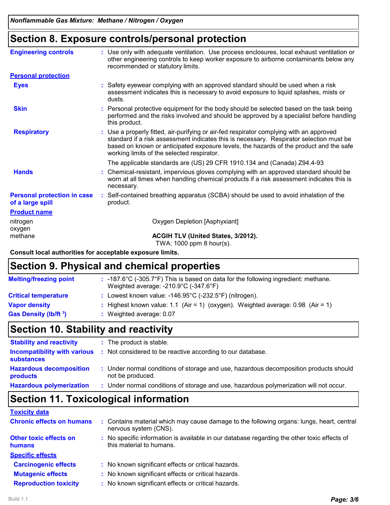# **Section 8. Exposure controls/personal protection**

| <b>Engineering controls</b>                            | : Use only with adequate ventilation. Use process enclosures, local exhaust ventilation or<br>other engineering controls to keep worker exposure to airborne contaminants below any<br>recommended or statutory limits.                                                                                                    |
|--------------------------------------------------------|----------------------------------------------------------------------------------------------------------------------------------------------------------------------------------------------------------------------------------------------------------------------------------------------------------------------------|
| <b>Personal protection</b>                             |                                                                                                                                                                                                                                                                                                                            |
| <b>Eyes</b>                                            | : Safety eyewear complying with an approved standard should be used when a risk<br>assessment indicates this is necessary to avoid exposure to liquid splashes, mists or<br>dusts.                                                                                                                                         |
| <b>Skin</b>                                            | Personal protective equipment for the body should be selected based on the task being<br>performed and the risks involved and should be approved by a specialist before handling<br>this product.                                                                                                                          |
| <b>Respiratory</b>                                     | : Use a properly fitted, air-purifying or air-fed respirator complying with an approved<br>standard if a risk assessment indicates this is necessary. Respirator selection must be<br>based on known or anticipated exposure levels, the hazards of the product and the safe<br>working limits of the selected respirator. |
|                                                        | The applicable standards are (US) 29 CFR 1910.134 and (Canada) Z94.4-93                                                                                                                                                                                                                                                    |
| <b>Hands</b>                                           | : Chemical-resistant, impervious gloves complying with an approved standard should be<br>worn at all times when handling chemical products if a risk assessment indicates this is<br>necessary.                                                                                                                            |
| <b>Personal protection in case</b><br>of a large spill | : Self-contained breathing apparatus (SCBA) should be used to avoid inhalation of the<br>product.                                                                                                                                                                                                                          |
| <b>Product name</b>                                    |                                                                                                                                                                                                                                                                                                                            |
| nitrogen<br>oxygen                                     | Oxygen Depletion [Asphyxiant]                                                                                                                                                                                                                                                                                              |
| methane                                                | <b>ACGIH TLV (United States, 3/2012).</b><br>$T(MA - A A A A - A A B A - A A B A - A A A B$                                                                                                                                                                                                                                |

TWA: 1000 ppm 8 hour(s).

**Consult local authorities for acceptable exposure limits.**

### **Section 9. Physical and chemical properties**

| <b>Melting/freezing point</b>     | : -187.6 $^{\circ}$ C (-305.7 $^{\circ}$ F) This is based on data for the following ingredient: methane.<br>Weighted average: $-210.9^{\circ}C$ ( $-347.6^{\circ}F$ ) |
|-----------------------------------|-----------------------------------------------------------------------------------------------------------------------------------------------------------------------|
| <b>Critical temperature</b>       | : Lowest known value: $-146.95^{\circ}$ C ( $-232.5^{\circ}$ F) (nitrogen).                                                                                           |
| <b>Vapor density</b>              | : Highest known value: 1.1 (Air = 1) (oxygen). Weighted average: $0.98$ (Air = 1)                                                                                     |
| Gas Density (lb/ft <sup>3</sup> ) | $\therefore$ Weighted average: 0.07                                                                                                                                   |
|                                   |                                                                                                                                                                       |

# **Section 10. Stability and reactivity**

| <b>Stability and reactivity</b>            | : The product is stable.                                                                                  |  |
|--------------------------------------------|-----------------------------------------------------------------------------------------------------------|--|
| <b>substances</b>                          | <b>Incompatibility with various</b> : Not considered to be reactive according to our database.            |  |
| <b>Hazardous decomposition</b><br>products | : Under normal conditions of storage and use, hazardous decomposition products should<br>not be produced. |  |
| <b>Hazardous polymerization</b>            | : Under normal conditions of storage and use, hazardous polymerization will not occur.                    |  |

# **Section 11. Toxicological information**

| <b>Toxicity data</b>                           |                                                                                                                         |
|------------------------------------------------|-------------------------------------------------------------------------------------------------------------------------|
| <b>Chronic effects on humans</b>               | : Contains material which may cause damage to the following organs: lungs, heart, central<br>nervous system (CNS).      |
| <b>Other toxic effects on</b><br><b>humans</b> | : No specific information is available in our database regarding the other toxic effects of<br>this material to humans. |
| <b>Specific effects</b>                        |                                                                                                                         |
| <b>Carcinogenic effects</b>                    | : No known significant effects or critical hazards.                                                                     |
| <b>Mutagenic effects</b>                       | : No known significant effects or critical hazards.                                                                     |
| <b>Reproduction toxicity</b>                   | : No known significant effects or critical hazards.                                                                     |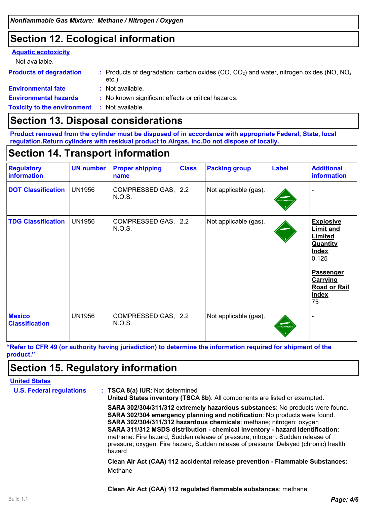# **Section 12. Ecological information**

#### **Aquatic ecotoxicity**

Not available.

| <b>Products of degradation</b>                      | : Products of degradation: carbon oxides $(CO, CO2)$ and water, nitrogen oxides $(NO, NO2)$<br>$etc.$ ). |
|-----------------------------------------------------|----------------------------------------------------------------------------------------------------------|
| <b>Environmental fate</b>                           | : Not available.                                                                                         |
| <b>Environmental hazards</b>                        | : No known significant effects or critical hazards.                                                      |
| <b>Toxicity to the environment : Not available.</b> |                                                                                                          |

## **Section 13. Disposal considerations**

**Product removed from the cylinder must be disposed of in accordance with appropriate Federal, State, local regulation.Return cylinders with residual product to Airgas, Inc.Do not dispose of locally.**

# **Section 14. Transport information**

| <b>Regulatory</b><br>information       | <b>UN number</b> | <b>Proper shipping</b><br>name | <b>Class</b> | <b>Packing group</b>  | <b>Label</b>    | <b>Additional</b><br>information                                                                                                                                                |
|----------------------------------------|------------------|--------------------------------|--------------|-----------------------|-----------------|---------------------------------------------------------------------------------------------------------------------------------------------------------------------------------|
| <b>DOT Classification</b>              | <b>UN1956</b>    | COMPRESSED GAS, 2.2<br>N.O.S.  |              | Not applicable (gas). | ONFLAMMABLE O   |                                                                                                                                                                                 |
| <b>TDG Classification</b>              | <b>UN1956</b>    | COMPRESSED GAS, 2.2<br>N.O.S.  |              | Not applicable (gas). |                 | <b>Explosive</b><br><b>Limit and</b><br>Limited<br><b>Quantity</b><br><b>Index</b><br>0.125<br><b>Passenger</b><br><b>Carrying</b><br><b>Road or Rail</b><br><b>Index</b><br>75 |
| <b>Mexico</b><br><b>Classification</b> | UN1956           | COMPRESSED GAS, 2.2<br>N.O.S.  |              | Not applicable (gas). | VONFLAMMABLE G. |                                                                                                                                                                                 |

**"Refer to CFR 49 (or authority having jurisdiction) to determine the information required for shipment of the product."**

# **Section 15. Regulatory information**

#### **United States**

| <b>U.S. Federal regulations</b> | : TSCA 8(a) IUR: Not determined<br>United States inventory (TSCA 8b): All components are listed or exempted.                                                                                                                                                                                                                                                                                                                                                                                              |
|---------------------------------|-----------------------------------------------------------------------------------------------------------------------------------------------------------------------------------------------------------------------------------------------------------------------------------------------------------------------------------------------------------------------------------------------------------------------------------------------------------------------------------------------------------|
|                                 | SARA 302/304/311/312 extremely hazardous substances: No products were found.<br><b>SARA 302/304 emergency planning and notification:</b> No products were found.<br>SARA 302/304/311/312 hazardous chemicals: methane; nitrogen; oxygen<br>SARA 311/312 MSDS distribution - chemical inventory - hazard identification:<br>methane: Fire hazard, Sudden release of pressure; nitrogen: Sudden release of<br>pressure; oxygen: Fire hazard, Sudden release of pressure, Delayed (chronic) health<br>hazard |
|                                 | Clean Air Act (CAA) 112 accidental release prevention - Flammable Substances:                                                                                                                                                                                                                                                                                                                                                                                                                             |

Methane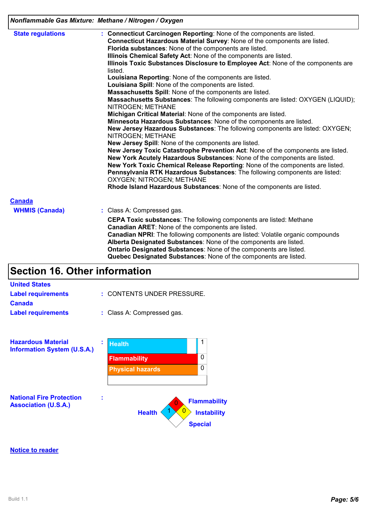| Nonflammable Gas Mixture: Methane / Nitrogen / Oxygen |  |
|-------------------------------------------------------|--|
|-------------------------------------------------------|--|

| <b>State regulations</b> | : Connecticut Carcinogen Reporting: None of the components are listed.<br>Connecticut Hazardous Material Survey: None of the components are listed.<br>Florida substances: None of the components are listed.<br>Illinois Chemical Safety Act: None of the components are listed.<br>Illinois Toxic Substances Disclosure to Employee Act: None of the components are<br>listed.<br>Louisiana Reporting: None of the components are listed.<br>Louisiana Spill: None of the components are listed.<br>Massachusetts Spill: None of the components are listed.<br>Massachusetts Substances: The following components are listed: OXYGEN (LIQUID);<br>NITROGEN; METHANE<br>Michigan Critical Material: None of the components are listed.<br>Minnesota Hazardous Substances: None of the components are listed.<br>New Jersey Hazardous Substances: The following components are listed: OXYGEN;<br>NITROGEN; METHANE<br>New Jersey Spill: None of the components are listed.<br>New Jersey Toxic Catastrophe Prevention Act: None of the components are listed.<br>New York Acutely Hazardous Substances: None of the components are listed.<br>New York Toxic Chemical Release Reporting: None of the components are listed.<br>Pennsylvania RTK Hazardous Substances: The following components are listed: |  |  |  |
|--------------------------|-------------------------------------------------------------------------------------------------------------------------------------------------------------------------------------------------------------------------------------------------------------------------------------------------------------------------------------------------------------------------------------------------------------------------------------------------------------------------------------------------------------------------------------------------------------------------------------------------------------------------------------------------------------------------------------------------------------------------------------------------------------------------------------------------------------------------------------------------------------------------------------------------------------------------------------------------------------------------------------------------------------------------------------------------------------------------------------------------------------------------------------------------------------------------------------------------------------------------------------------------------------------------------------------------------------|--|--|--|
|                          | OXYGEN; NITROGEN; METHANE<br>Rhode Island Hazardous Substances: None of the components are listed.                                                                                                                                                                                                                                                                                                                                                                                                                                                                                                                                                                                                                                                                                                                                                                                                                                                                                                                                                                                                                                                                                                                                                                                                          |  |  |  |
| <b>Canada</b>            |                                                                                                                                                                                                                                                                                                                                                                                                                                                                                                                                                                                                                                                                                                                                                                                                                                                                                                                                                                                                                                                                                                                                                                                                                                                                                                             |  |  |  |
| <b>WHMIS (Canada)</b>    | : Class A: Compressed gas.                                                                                                                                                                                                                                                                                                                                                                                                                                                                                                                                                                                                                                                                                                                                                                                                                                                                                                                                                                                                                                                                                                                                                                                                                                                                                  |  |  |  |
|                          | <b>CEPA Toxic substances:</b> The following components are listed: Methane<br>Canadian ARET: None of the components are listed.<br><b>Canadian NPRI:</b> The following components are listed: Volatile organic compounds<br>Alberta Designated Substances: None of the components are listed.<br>Ontario Designated Substances: None of the components are listed.<br>Quebec Designated Substances: None of the components are listed.                                                                                                                                                                                                                                                                                                                                                                                                                                                                                                                                                                                                                                                                                                                                                                                                                                                                      |  |  |  |
|                          |                                                                                                                                                                                                                                                                                                                                                                                                                                                                                                                                                                                                                                                                                                                                                                                                                                                                                                                                                                                                                                                                                                                                                                                                                                                                                                             |  |  |  |

# **Section 16. Other information**

| <b>United States</b>                                           |   |                            |                                                             |
|----------------------------------------------------------------|---|----------------------------|-------------------------------------------------------------|
| <b>Label requirements</b>                                      |   | : CONTENTS UNDER PRESSURE. |                                                             |
| <b>Canada</b>                                                  |   |                            |                                                             |
| <b>Label requirements</b>                                      |   | : Class A: Compressed gas. |                                                             |
| <b>Hazardous Material</b>                                      | ÷ | <b>Health</b>              | 1                                                           |
| <b>Information System (U.S.A.)</b>                             |   |                            |                                                             |
|                                                                |   | <b>Flammability</b>        | $\Omega$                                                    |
|                                                                |   | <b>Physical hazards</b>    | 0                                                           |
|                                                                |   |                            |                                                             |
| <b>National Fire Protection</b><br><b>Association (U.S.A.)</b> | t | 0<br><b>Health</b>         | <b>Flammability</b><br><b>Instability</b><br><b>Special</b> |

#### **Notice to reader**